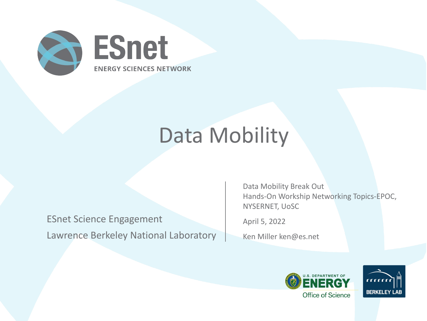

## Data Mobility

ESnet Science Engagement Lawrence Berkeley National Laboratory Data Mobility Break Out Hands-On Workship Networking Topics-EPOC, NYSERNET, UoSC

April 5, 2022

Ken Miller ken@es.net



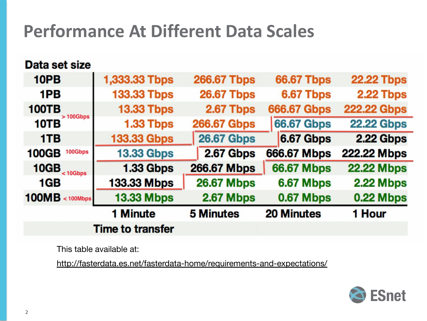#### **Performance At Different Data Scales**

Data set size 1,333.33 Tbps 10PB **266.67 Tbps 66.67 Tbps 22.22 Tbps 26.67 Tbps 133.33 Tbps** 6.67 Tbps 1PB 2.22 Tbps **100TB 13.33 Tbps** 2.67 Tbps **666.67 Gbps 222.22 Gbps**  $>100Gbps$ 10TB 1.33 Tbps **66.67 Gbps 22.22 Gbps 266.67 Gbps 26.67 Gbps** 6.67 Gbps 2.22 Gbps 1TB **133.33 Gbps** 2.67 Gbps 666.67 Mbps **100GB** 100Gbps **13.33 Gbps** 222.22 Mbps  $10GB$ <sub><10Gbps</sub> 266.67 Mbps **66.67 Mbps 1.33 Gbps 22.22 Mbps** 1GB 133.33 Mbps **26.67 Mbps** 6.67 Mbps **2.22 Mbps 0.22 Mbps**  $100MB <sub>100Mbps</sub>$ **13.33 Mbps** 2.67 Mbps 0.67 Mbps 1 Minute **5 Minutes 20 Minutes** 1 Hour **Time to transfer** 

This table available at:

<http://fasterdata.es.net/fasterdata-home/requirements-and-expectations/>

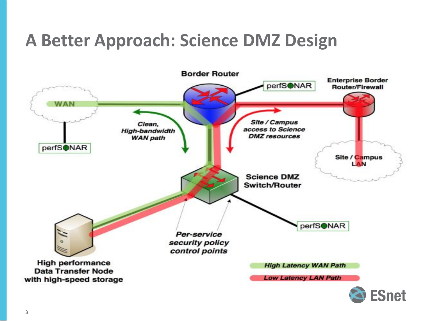#### **A Better Approach: Science DMZ Design**

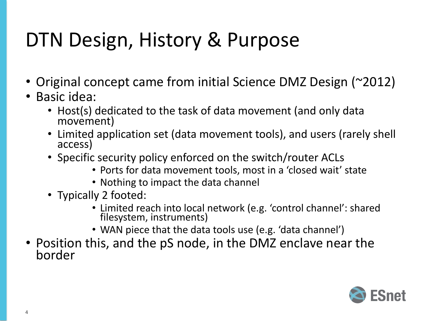## DTN Design, History & Purpose

- Original concept came from initial Science DMZ Design (~2012)
- Basic idea:
	- Host(s) dedicated to the task of data movement (and only data movement)
	- Limited application set (data movement tools), and users (rarely shell access)
	- Specific security policy enforced on the switch/router ACLs
		- Ports for data movement tools, most in a 'closed wait' state
		- Nothing to impact the data channel
	- Typically 2 footed:
		- Limited reach into local network (e.g. 'control channel': shared filesystem, instruments)
		- WAN piece that the data tools use (e.g. 'data channel')
- Position this, and the pS node, in the DMZ enclave near the border

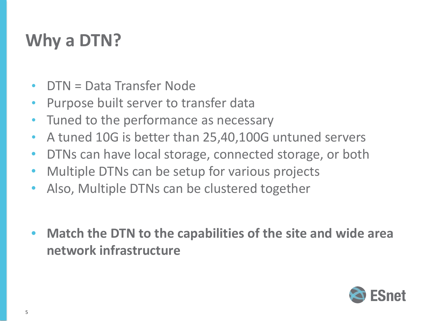#### **Why a DTN?**

- DTN = Data Transfer Node
- Purpose built server to transfer data
- Tuned to the performance as necessary
- A tuned 10G is better than 25,40,100G untuned servers
- DTNs can have local storage, connected storage, or both
- Multiple DTNs can be setup for various projects
- Also, Multiple DTNs can be clustered together
- **• Match the DTN to the capabilities of the site and wide area network infrastructure**

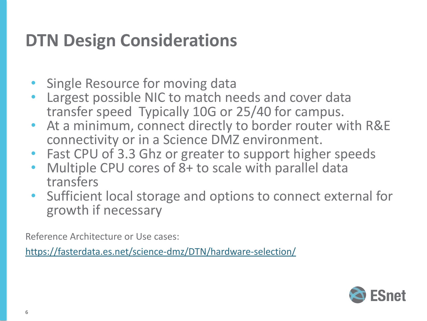#### **DTN Design Considerations**

- Single Resource for moving data
- Largest possible NIC to match needs and cover data transfer speed Typically 10G or 25/40 for campus.
- At a minimum, connect directly to border router with R&E connectivity or in a Science DMZ environment.
- Fast CPU of 3.3 Ghz or greater to support higher speeds
- Multiple CPU cores of 8+ to scale with parallel data transfers
- Sufficient local storage and options to connect external for growth if necessary

Reference Architecture or Use cases:

<https://fasterdata.es.net/science-dmz/DTN/hardware-selection/>

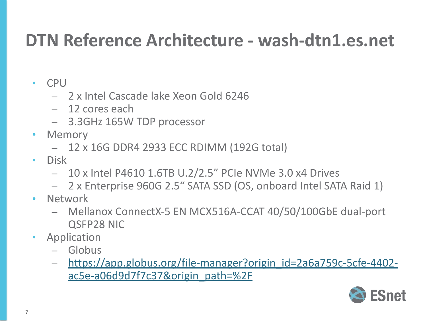#### **DTN Reference Architecture - wash-dtn1.es.net**

- CPU
	- 2 x Intel Cascade lake Xeon Gold 6246
	- 12 cores each
	- 3.3GHz 165W TDP processor
- Memory
	- 12 x 16G DDR4 2933 ECC RDIMM (192G total)
- Disk
	- 10 x Intel P4610 1.6TB U.2/2.5" PCIe NVMe 3.0 x4 Drives
	- 2 x Enterprise 960G 2.5" SATA SSD (OS, onboard Intel SATA Raid 1)
- Network
	- Mellanox ConnectX-5 EN MCX516A-CCAT 40/50/100GbE dual-port QSFP28 NIC
- Application
	- Globus
	- [https://app.globus.org/file-manager?origin\\_id=2a6a759c-5cfe-4402](https://app.globus.org/file-manager?origin_id=2a6a759c-5cfe-4402-ac5e-a06d9d7f7c37&origin_path=%2F) [ac5e-a06d9d7f7c37&origin\\_path=%2F](https://app.globus.org/file-manager?origin_id=2a6a759c-5cfe-4402-ac5e-a06d9d7f7c37&origin_path=%2F)

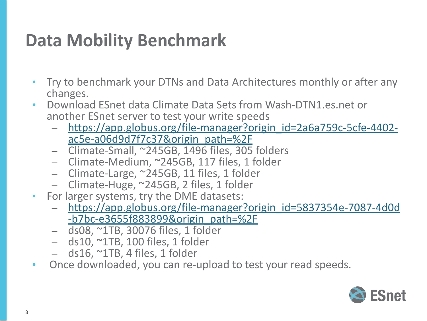#### **Data Mobility Benchmark**

- Try to benchmark your DTNs and Data Architectures monthly or after any changes.
- Download ESnet data Climate Data Sets from Wash-DTN1.es.net or another ESnet server to test your write speeds
	- [https://app.globus.org/file-manager?origin\\_id=2a6a759c-5cfe-4402](https://app.globus.org/file-manager?origin_id=2a6a759c-5cfe-4402-ac5e-a06d9d7f7c37&origin_path=%2F) [ac5e-a06d9d7f7c37&origin\\_path=%2F](https://app.globus.org/file-manager?origin_id=2a6a759c-5cfe-4402-ac5e-a06d9d7f7c37&origin_path=%2F)
	- Climate-Small, ~245GB, 1496 files, 305 folders
	- Climate-Medium, ~245GB, 117 files, 1 folder
	- Climate-Large, ~245GB, 11 files, 1 folder
	- Climate-Huge, ~245GB, 2 files, 1 folder
- For larger systems, try the DME datasets:
	- [https://app.globus.org/file-manager?origin\\_id=5837354e-7087-4d0d](https://app.globus.org/file-manager?origin_id=5837354e-7087-4d0d-b7bc-e3655f883899&origin_path=%2F) [-b7bc-e3655f883899&origin\\_path=%2F](https://app.globus.org/file-manager?origin_id=5837354e-7087-4d0d-b7bc-e3655f883899&origin_path=%2F)
	- ds08, ~1TB, 30076 files, 1 folder
	- $-$  ds10,  $\sim$ 1TB, 100 files, 1 folder
	- $-$  ds16,  $\sim$ 1TB, 4 files, 1 folder
- Once downloaded, you can re-upload to test your read speeds.

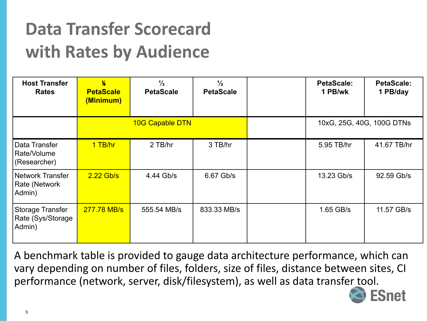### **Data Transfer Scorecard with Rates by Audience**

| <b>Host Transfer</b><br><b>Rates</b>            | $\frac{1}{6}$<br><b>PetaScale</b><br>(Minimum) | $\frac{1}{3}$<br><b>PetaScale</b> | $\frac{1}{2}$<br><b>PetaScale</b> | <b>PetaScale:</b><br>1 PB/wk | <b>PetaScale:</b><br>1 PB/day |
|-------------------------------------------------|------------------------------------------------|-----------------------------------|-----------------------------------|------------------------------|-------------------------------|
|                                                 | <b>10G Capable DTN</b>                         |                                   |                                   | 10xG, 25G, 40G, 100G DTNs    |                               |
| Data Transfer<br>Rate/Volume<br>(Researcher)    | 1 TB/hr                                        | 2 TB/hr                           | 3 TB/hr                           | 5.95 TB/hr                   | 41.67 TB/hr                   |
| Network Transfer<br>Rate (Network<br>Admin)     | $2.22$ Gb/s                                    | 4.44 Gb/s                         | 6.67 Gb/s                         | 13.23 Gb/s                   | 92.59 Gb/s                    |
| Storage Transfer<br>Rate (Sys/Storage<br>Admin) | 277.78 MB/s                                    | 555.54 MB/s                       | 833.33 MB/s                       | 1.65 GB/s                    | 11.57 GB/s                    |

A benchmark table is provided to gauge data architecture performance, which can vary depending on number of files, folders, size of files, distance between sites, CI performance (network, server, disk/filesystem), as well as data transfer tool.